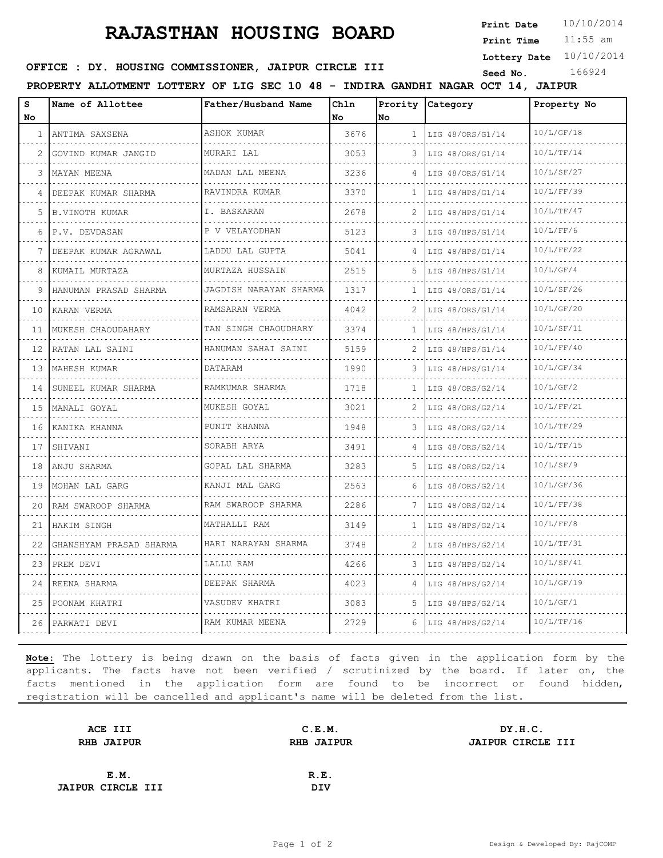## **RAJASTHAN HOUSING BOARD**

**Print Date**  $10/10/2014$ 

11:55 am **Print Time**

**Lottery Date** 10/10/2014

#### **OFFICE : DY. HOUSING COMMISSIONER, JAIPUR CIRCLE III** Seed No. 166924

**PROPERTY ALLOTMENT LOTTERY OF LIG SEC 10 48 - INDIRA GANDHI NAGAR OCT 14, JAIPUR**

| s<br>No      | Name of Allottee         | Father/Husband Name         | Chln<br><b>No</b> | lno          | Prority Category | Property No |
|--------------|--------------------------|-----------------------------|-------------------|--------------|------------------|-------------|
| $\mathbf{1}$ | ANTIMA SAXSENA           | ASHOK KUMAR                 | 3676              | $\mathbf{1}$ | LIG 48/ORS/G1/14 | 10/L/GF/18  |
| 2            | GOVIND KUMAR JANGID      | MURARI LAL                  | 3053              | 3            | LIG 48/ORS/G1/14 | 10/L/TF/14  |
| 3            | MAYAN MEENA              | MADAN LAL MEENA             | 3236              | 4            | LIG 48/ORS/G1/14 | 10/L/SF/27  |
| 4            | .<br>DEEPAK KUMAR SHARMA | .<br>RAVINDRA KUMAR         | 3370              | 1            | LIG 48/HPS/G1/14 | 10/L/FF/39  |
| 5            | B.VINOTH KUMAR           | I. BASKARAN                 | 2678              | 2            | LIG 48/HPS/G1/14 | 10/L/TF/47  |
| 6            | P.V. DEVDASAN            | P V VELAYODHAN              | 5123              | 3            | LIG 48/HPS/G1/14 | 10/L/FF/6   |
|              | DEEPAK KUMAR AGRAWAL     | .<br>LADDU LAL GUPTA        | 5041              | 4            | LIG 48/HPS/G1/14 | 10/L/FF/22  |
| 8            | KUMAIL MURTAZA           | MURTAZA HUSSAIN             | 2515              | 5.           | LIG 48/HPS/G1/14 | 10/L/GF/4   |
| 9            | HANUMAN PRASAD SHARMA    | JAGDISH NARAYAN SHARMA<br>. | 1317              | $\mathbf{1}$ | LIG 48/ORS/G1/14 | 10/L/SF/26  |
| 10           | KARAN VERMA              | RAMSARAN VERMA              | 4042              | 2            | LIG 48/ORS/G1/14 | 10/L/GF/20  |
| 11           | MUKESH CHAOUDAHARY       | TAN SINGH CHAOUDHARY        | 3374              | $\mathbf{1}$ | LIG 48/HPS/G1/14 | 10/L/SF/11  |
| 12           | RATAN LAL SAINI          | HANUMAN SAHAI SAINI<br>.    | 5159              | 2            | LIG 48/HPS/G1/14 | 10/L/FF/40  |
| 13           | MAHESH KUMAR             | DATARAM                     | 1990              | 3            | LIG 48/HPS/G1/14 | 10/L/GF/34  |
| 14           | SUNEEL KUMAR SHARMA      | RAMKUMAR SHARMA             | 1718              | 1            | LIG 48/ORS/G2/14 | 10/L/GF/2   |
| 15           | MANALI GOYAL             | MUKESH GOYAL<br><u>.</u>    | 3021              | 2            | LIG 48/ORS/G2/14 | 10/L/FF/21  |
| 16           | KANIKA KHANNA            | PUNIT KHANNA                | 1948              | 3            | LIG 48/ORS/G2/14 | 10/L/TF/29  |
| 17           | SHIVANI                  | SORABH ARYA                 | 3491              | 4            | LIG 48/ORS/G2/14 | 10/L/TF/15  |
| 18           | ANJU SHARMA              | GOPAL LAL SHARMA            | 3283              | 5            | LIG 48/ORS/G2/14 | 10/L/SF/9   |
| 19           | MOHAN LAL GARG           | KANJI MAL GARG              | 2563              | 6            | LIG 48/ORS/G2/14 | 10/L/GF/36  |
| 20           | RAM SWAROOP SHARMA       | RAM SWAROOP SHARMA          | 2286              |              | LIG 48/ORS/G2/14 | 10/L/FF/38  |
| 21           | HAKIM SINGH              | MATHALLI RAM                | 3149              | 1            | LIG 48/HPS/G2/14 | 10/L/FF/8   |
| 22           | GHANSHYAM PRASAD SHARMA  | HARI NARAYAN SHARMA         | 3748              | 2            | LIG 48/HPS/G2/14 | 10/L/TF/31  |
| 23           | PREM DEVI                | LALLU RAM                   | 4266              | 3            | LIG 48/HPS/G2/14 | 10/L/SF/41  |
| 24           | REENA SHARMA             | DEEPAK SHARMA               | 4023              | 4            | LIG 48/HPS/G2/14 | 10/L/GF/19  |
| 25           | POONAM KHATRI            | VASUDEV KHATRI              | 3083              | 5            | LIG 48/HPS/G2/14 | 10/L/GF/1   |
|              | 26   PARWATI DEVI        | RAM KUMAR MEENA             | 2729              | 6            | LIG 48/HPS/G2/14 | 10/L/TF/16  |

**Note:** The lottery is being drawn on the basis of facts given in the application form by the applicants. The facts have not been verified / scrutinized by the board. If later on, the facts mentioned in the application form are found to be incorrect or found hidden, registration will be cancelled and applicant's name will be deleted from the list.

| ACE III                  | C.E.M.            | DY.H.C.                  |  |  |
|--------------------------|-------------------|--------------------------|--|--|
| <b>RHB JAIPUR</b>        | <b>RHB JAIPUR</b> | <b>JAIPUR CIRCLE III</b> |  |  |
|                          |                   |                          |  |  |
| E.M.                     | R.E.              |                          |  |  |
| <b>JAIPUR CIRCLE III</b> | DIV               |                          |  |  |
|                          |                   |                          |  |  |